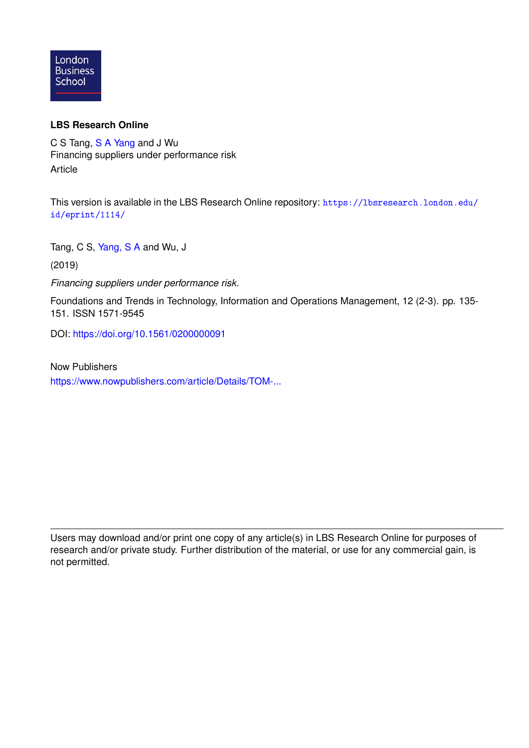

### **LBS Research Online**

C S Tang, [S A Yang](https://lbsresearch.london.edu/view/lbs_authors/1412817.html) and J Wu Financing suppliers under performance risk Article

This version is available in the LBS Research Online repository: [https://lbsresearch.london.edu/](https://lbsresearch.london.edu/id/eprint/1114/) [id/eprint/1114/](https://lbsresearch.london.edu/id/eprint/1114/)

Tang, C S, [Yang, S A](https://lbsresearch.london.edu/view/lbs_authors/1412817.html) and Wu, J

(2019)

*Financing suppliers under performance risk.*

Foundations and Trends in Technology, Information and Operations Management, 12 (2-3). pp. 135- 151. ISSN 1571-9545

DOI: <https://doi.org/10.1561/0200000091>

Now Publishers [https://www.nowpublishers.com/article/Details/TOM-...](https://www.nowpublishers.com/article/Details/TOM-091)

Users may download and/or print one copy of any article(s) in LBS Research Online for purposes of research and/or private study. Further distribution of the material, or use for any commercial gain, is not permitted.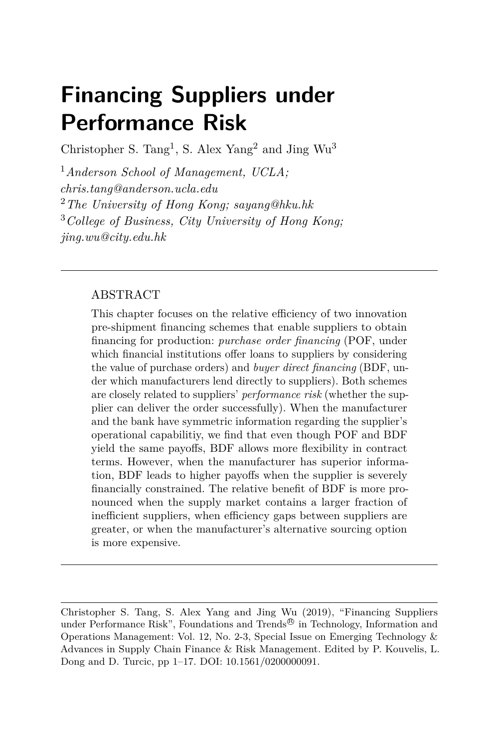# **Financing Suppliers under Performance Risk**

Christopher S. Tang<sup>1</sup>, S. Alex Yang<sup>2</sup> and Jing Wu<sup>3</sup>

<sup>1</sup>*Anderson School of Management, UCLA; chris.tang@anderson.ucla.edu* <sup>2</sup>*The University of Hong Kong; sayang@hku.hk* <sup>3</sup>*College of Business, City University of Hong Kong; jing.wu@city.edu.hk*

#### ABSTRACT

This chapter focuses on the relative efficiency of two innovation pre-shipment financing schemes that enable suppliers to obtain financing for production: *purchase order financing* (POF, under which financial institutions offer loans to suppliers by considering the value of purchase orders) and *buyer direct financing* (BDF, under which manufacturers lend directly to suppliers). Both schemes are closely related to suppliers' *performance risk* (whether the supplier can deliver the order successfully). When the manufacturer and the bank have symmetric information regarding the supplier's operational capabilitiy, we find that even though POF and BDF yield the same payoffs, BDF allows more flexibility in contract terms. However, when the manufacturer has superior information, BDF leads to higher payoffs when the supplier is severely financially constrained. The relative benefit of BDF is more pronounced when the supply market contains a larger fraction of inefficient suppliers, when efficiency gaps between suppliers are greater, or when the manufacturer's alternative sourcing option is more expensive.

Christopher S. Tang, S. Alex Yang and Jing Wu (2019), "Financing Suppliers under Performance Risk", Foundations and Trends<sup>®</sup> in Technology, Information and Operations Management: Vol. 12, No. 2-3, Special Issue on Emerging Technology & Advances in Supply Chain Finance & Risk Management. Edited by P. Kouvelis, L. Dong and D. Turcic, pp 1–17. DOI: 10.1561/0200000091.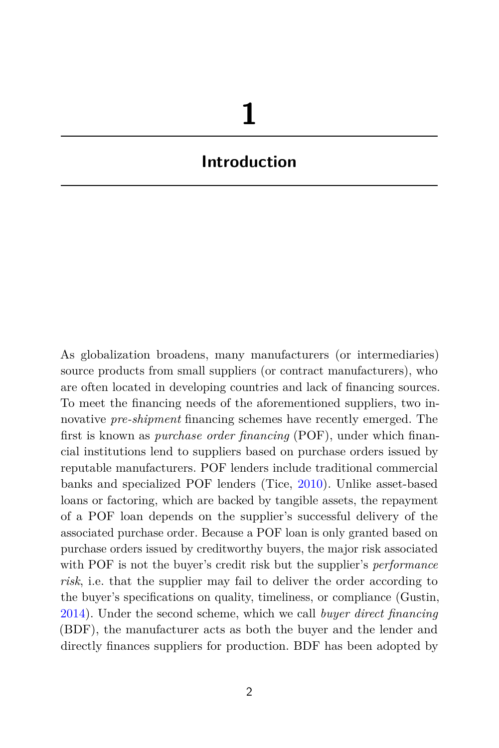# **Introduction**

As globalization broadens, many manufacturers (or intermediaries) source products from small suppliers (or contract manufacturers), who are often located in developing countries and lack of financing sources. To meet the financing needs of the aforementioned suppliers, two innovative *pre-shipment* financing schemes have recently emerged. The first is known as *purchase order financing* (POF), under which financial institutions lend to suppliers based on purchase orders issued by reputable manufacturers. POF lenders include traditional commercial banks and specialized POF lenders (Tice, [2010\)](#page-17-0). Unlike asset-based loans or factoring, which are backed by tangible assets, the repayment of a POF loan depends on the supplier's successful delivery of the associated purchase order. Because a POF loan is only granted based on purchase orders issued by creditworthy buyers, the major risk associated with POF is not the buyer's credit risk but the supplier's *performance risk*, i.e. that the supplier may fail to deliver the order according to the buyer's specifications on quality, timeliness, or compliance (Gustin, [2014\)](#page-17-1). Under the second scheme, which we call *buyer direct financing* (BDF), the manufacturer acts as both the buyer and the lender and directly finances suppliers for production. BDF has been adopted by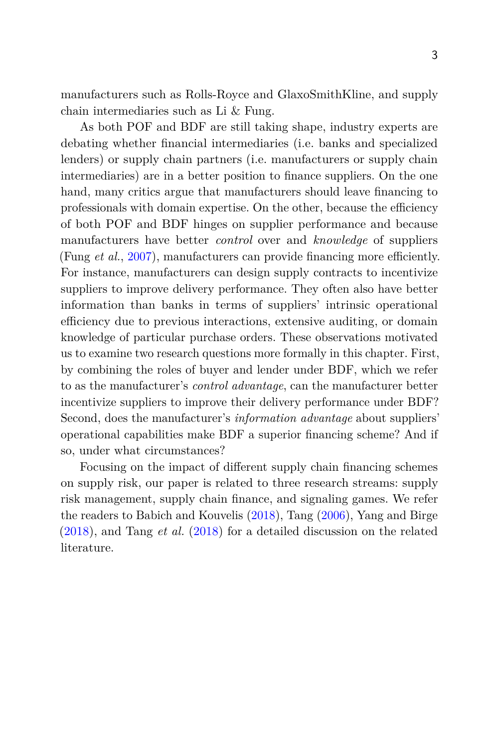manufacturers such as Rolls-Royce and GlaxoSmithKline, and supply chain intermediaries such as Li & Fung.

As both POF and BDF are still taking shape, industry experts are debating whether financial intermediaries (i.e. banks and specialized lenders) or supply chain partners (i.e. manufacturers or supply chain intermediaries) are in a better position to finance suppliers. On the one hand, many critics argue that manufacturers should leave financing to professionals with domain expertise. On the other, because the efficiency of both POF and BDF hinges on supplier performance and because manufacturers have better *control* over and *knowledge* of suppliers (Fung *et al.*, [2007\)](#page-17-2), manufacturers can provide financing more efficiently. For instance, manufacturers can design supply contracts to incentivize suppliers to improve delivery performance. They often also have better information than banks in terms of suppliers' intrinsic operational efficiency due to previous interactions, extensive auditing, or domain knowledge of particular purchase orders. These observations motivated us to examine two research questions more formally in this chapter. First, by combining the roles of buyer and lender under BDF, which we refer to as the manufacturer's *control advantage*, can the manufacturer better incentivize suppliers to improve their delivery performance under BDF? Second, does the manufacturer's *information advantage* about suppliers' operational capabilities make BDF a superior financing scheme? And if so, under what circumstances?

Focusing on the impact of different supply chain financing schemes on supply risk, our paper is related to three research streams: supply risk management, supply chain finance, and signaling games. We refer the readers to Babich and Kouvelis [\(2018\)](#page-17-3), Tang [\(2006\)](#page-17-4), Yang and Birge [\(2018\)](#page-17-5), and Tang *et al.* [\(2018\)](#page-17-6) for a detailed discussion on the related literature.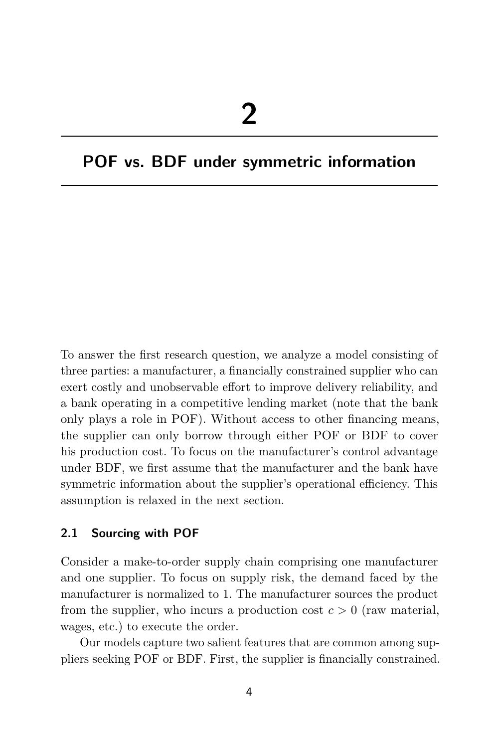## **POF vs. BDF under symmetric information**

To answer the first research question, we analyze a model consisting of three parties: a manufacturer, a financially constrained supplier who can exert costly and unobservable effort to improve delivery reliability, and a bank operating in a competitive lending market (note that the bank only plays a role in POF). Without access to other financing means, the supplier can only borrow through either POF or BDF to cover his production cost. To focus on the manufacturer's control advantage under BDF, we first assume that the manufacturer and the bank have symmetric information about the supplier's operational efficiency. This assumption is relaxed in the next section.

#### **2.1 Sourcing with POF**

Consider a make-to-order supply chain comprising one manufacturer and one supplier. To focus on supply risk, the demand faced by the manufacturer is normalized to 1. The manufacturer sources the product from the supplier, who incurs a production cost  $c > 0$  (raw material, wages, etc.) to execute the order.

Our models capture two salient features that are common among suppliers seeking POF or BDF. First, the supplier is financially constrained.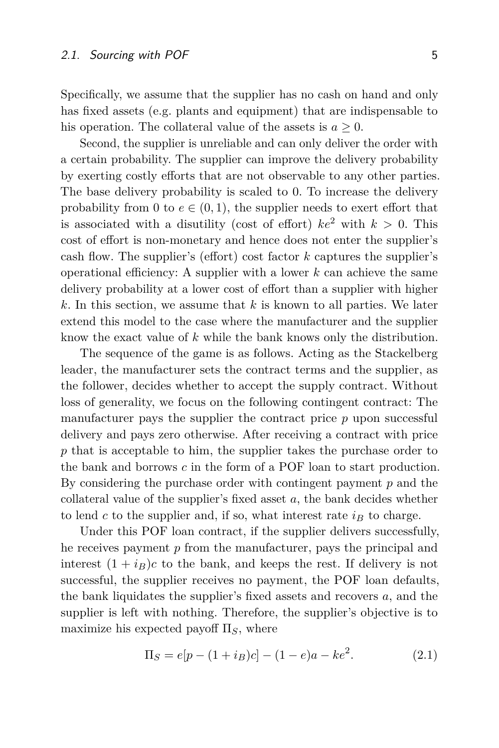Specifically, we assume that the supplier has no cash on hand and only has fixed assets (e.g. plants and equipment) that are indispensable to his operation. The collateral value of the assets is  $a \geq 0$ .

Second, the supplier is unreliable and can only deliver the order with a certain probability. The supplier can improve the delivery probability by exerting costly efforts that are not observable to any other parties. The base delivery probability is scaled to 0. To increase the delivery probability from 0 to  $e \in (0,1)$ , the supplier needs to exert effort that is associated with a disutility (cost of effort)  $ke^2$  with  $k > 0$ . This cost of effort is non-monetary and hence does not enter the supplier's cash flow. The supplier's (effort) cost factor *k* captures the supplier's operational efficiency: A supplier with a lower *k* can achieve the same delivery probability at a lower cost of effort than a supplier with higher *k*. In this section, we assume that *k* is known to all parties. We later extend this model to the case where the manufacturer and the supplier know the exact value of *k* while the bank knows only the distribution.

The sequence of the game is as follows. Acting as the Stackelberg leader, the manufacturer sets the contract terms and the supplier, as the follower, decides whether to accept the supply contract. Without loss of generality, we focus on the following contingent contract: The manufacturer pays the supplier the contract price *p* upon successful delivery and pays zero otherwise. After receiving a contract with price *p* that is acceptable to him, the supplier takes the purchase order to the bank and borrows *c* in the form of a POF loan to start production. By considering the purchase order with contingent payment *p* and the collateral value of the supplier's fixed asset *a*, the bank decides whether to lend  $c$  to the supplier and, if so, what interest rate  $i<sub>B</sub>$  to charge.

Under this POF loan contract, if the supplier delivers successfully, he receives payment *p* from the manufacturer, pays the principal and interest  $(1 + i_B)c$  to the bank, and keeps the rest. If delivery is not successful, the supplier receives no payment, the POF loan defaults, the bank liquidates the supplier's fixed assets and recovers *a*, and the supplier is left with nothing. Therefore, the supplier's objective is to maximize his expected payoff Π*S*, where

$$
\Pi_S = e[p - (1 + i_B)c] - (1 - e)a - ke^2.
$$
 (2.1)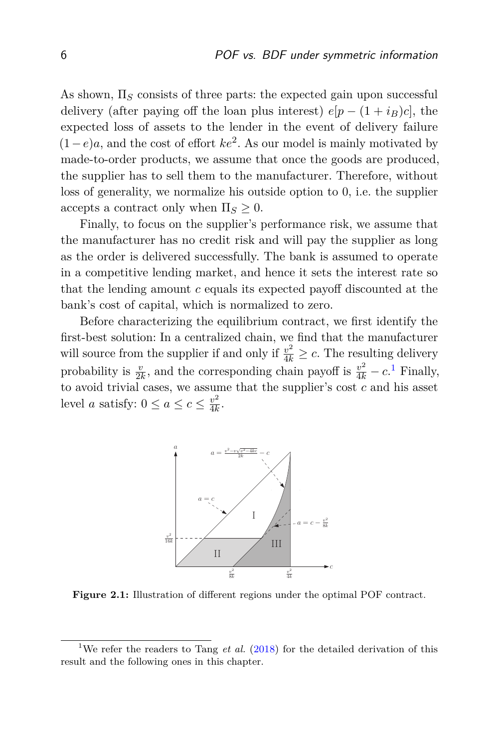As shown, Π*<sup>S</sup>* consists of three parts: the expected gain upon successful delivery (after paying off the loan plus interest)  $e[p - (1 + i_B)c]$ , the expected loss of assets to the lender in the event of delivery failure  $(1-e)a$ , and the cost of effort  $ke^2$ . As our model is mainly motivated by made-to-order products, we assume that once the goods are produced, the supplier has to sell them to the manufacturer. Therefore, without loss of generality, we normalize his outside option to 0, i.e. the supplier accepts a contract only when  $\Pi_s \geq 0$ .

Finally, to focus on the supplier's performance risk, we assume that the manufacturer has no credit risk and will pay the supplier as long as the order is delivered successfully. The bank is assumed to operate in a competitive lending market, and hence it sets the interest rate so that the lending amount *c* equals its expected payoff discounted at the bank's cost of capital, which is normalized to zero.

Before characterizing the equilibrium contract, we first identify the first-best solution: In a centralized chain, we find that the manufacturer will source from the supplier if and only if  $\frac{v^2}{4k} \geq c$ . The resulting delivery probability is  $\frac{v}{2k}$ , and the corresponding chain payoff is  $\frac{v^2}{4k} - c$ .<sup>[1](#page-6-0)</sup> Finally, to avoid trivial cases, we assume that the supplier's cost *c* and his asset level *a* satisfy:  $0 \le a \le c \le \frac{v^2}{4k}$  $\frac{v^2}{4k}$ .

<span id="page-6-1"></span>

**Figure 2.1:** Illustration of different regions under the optimal POF contract.

<span id="page-6-0"></span><sup>&</sup>lt;sup>1</sup>We refer the readers to Tang *et al.* [\(2018\)](#page-17-6) for the detailed derivation of this result and the following ones in this chapter.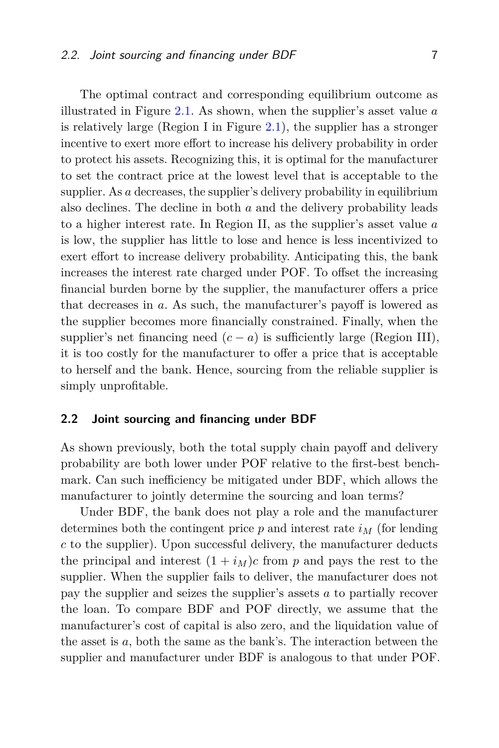The optimal contract and corresponding equilibrium outcome as illustrated in Figure [2.1.](#page-6-1) As shown, when the supplier's asset value *a* is relatively large (Region I in Figure  $(2.1)$  $(2.1)$ , the supplier has a stronger incentive to exert more effort to increase his delivery probability in order to protect his assets. Recognizing this, it is optimal for the manufacturer to set the contract price at the lowest level that is acceptable to the supplier. As *a* decreases, the supplier's delivery probability in equilibrium also declines. The decline in both *a* and the delivery probability leads to a higher interest rate. In Region II, as the supplier's asset value *a* is low, the supplier has little to lose and hence is less incentivized to exert effort to increase delivery probability. Anticipating this, the bank increases the interest rate charged under POF. To offset the increasing financial burden borne by the supplier, the manufacturer offers a price that decreases in *a*. As such, the manufacturer's payoff is lowered as the supplier becomes more financially constrained. Finally, when the supplier's net financing need  $(c - a)$  is sufficiently large (Region III), it is too costly for the manufacturer to offer a price that is acceptable to herself and the bank. Hence, sourcing from the reliable supplier is simply unprofitable.

#### **2.2 Joint sourcing and financing under BDF**

As shown previously, both the total supply chain payoff and delivery probability are both lower under POF relative to the first-best benchmark. Can such inefficiency be mitigated under BDF, which allows the manufacturer to jointly determine the sourcing and loan terms?

Under BDF, the bank does not play a role and the manufacturer determines both the contingent price  $p$  and interest rate  $i_M$  (for lending *c* to the supplier). Upon successful delivery, the manufacturer deducts the principal and interest  $(1 + i<sub>M</sub>)c$  from *p* and pays the rest to the supplier. When the supplier fails to deliver, the manufacturer does not pay the supplier and seizes the supplier's assets *a* to partially recover the loan. To compare BDF and POF directly, we assume that the manufacturer's cost of capital is also zero, and the liquidation value of the asset is *a*, both the same as the bank's. The interaction between the supplier and manufacturer under BDF is analogous to that under POF.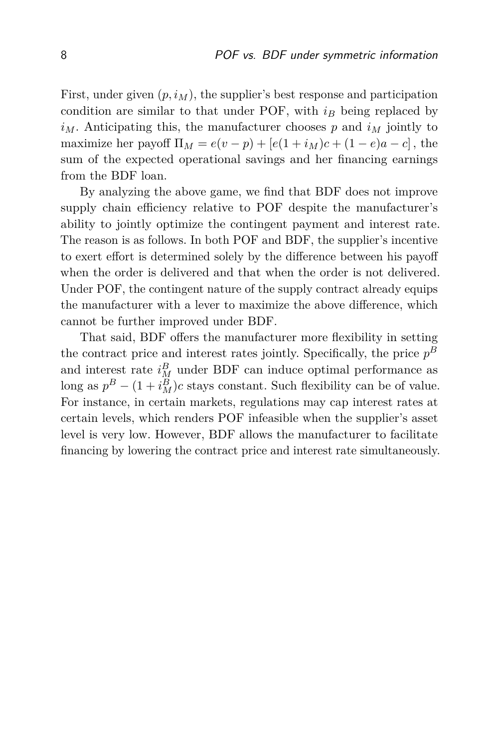First, under given  $(p, i_M)$ , the supplier's best response and participation condition are similar to that under POF, with  $i<sub>B</sub>$  being replaced by  $i_M$ . Anticipating this, the manufacturer chooses *p* and  $i_M$  jointly to maximize her payoff  $\Pi_M = e(v - p) + [e(1 + i_M)c + (1 - e)a - c]$ , the sum of the expected operational savings and her financing earnings from the BDF loan.

By analyzing the above game, we find that BDF does not improve supply chain efficiency relative to POF despite the manufacturer's ability to jointly optimize the contingent payment and interest rate. The reason is as follows. In both POF and BDF, the supplier's incentive to exert effort is determined solely by the difference between his payoff when the order is delivered and that when the order is not delivered. Under POF, the contingent nature of the supply contract already equips the manufacturer with a lever to maximize the above difference, which cannot be further improved under BDF.

That said, BDF offers the manufacturer more flexibility in setting the contract price and interest rates jointly. Specifically, the price  $p^B$ and interest rate  $i_M^B$  under BDF can induce optimal performance as long as  $p^B - (1 + i_M^B)c$  stays constant. Such flexibility can be of value. For instance, in certain markets, regulations may cap interest rates at certain levels, which renders POF infeasible when the supplier's asset level is very low. However, BDF allows the manufacturer to facilitate financing by lowering the contract price and interest rate simultaneously.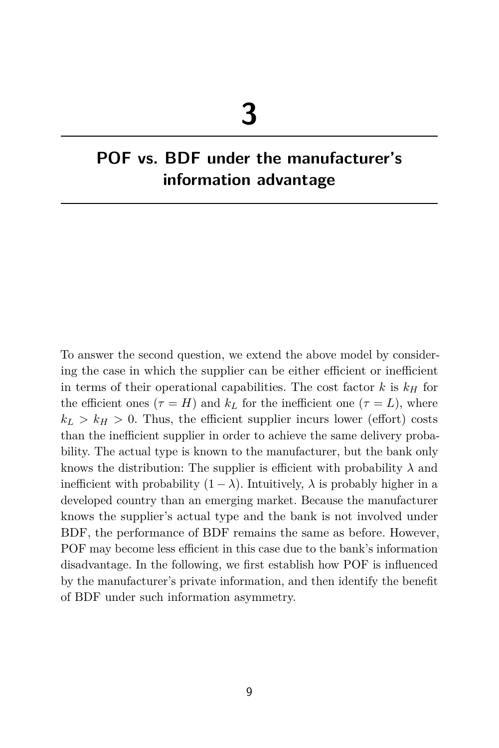# **POF vs. BDF under the manufacturer's information advantage**

To answer the second question, we extend the above model by considering the case in which the supplier can be either efficient or inefficient in terms of their operational capabilities. The cost factor  $k$  is  $k<sub>H</sub>$  for the efficient ones  $(\tau = H)$  and  $k_L$  for the inefficient one  $(\tau = L)$ , where  $k_L > k_H > 0$ . Thus, the efficient supplier incurs lower (effort) costs than the inefficient supplier in order to achieve the same delivery probability. The actual type is known to the manufacturer, but the bank only knows the distribution: The supplier is efficient with probability  $\lambda$  and inefficient with probability  $(1 - \lambda)$ . Intuitively,  $\lambda$  is probably higher in a developed country than an emerging market. Because the manufacturer knows the supplier's actual type and the bank is not involved under BDF, the performance of BDF remains the same as before. However, POF may become less efficient in this case due to the bank's information disadvantage. In the following, we first establish how POF is influenced by the manufacturer's private information, and then identify the benefit of BDF under such information asymmetry.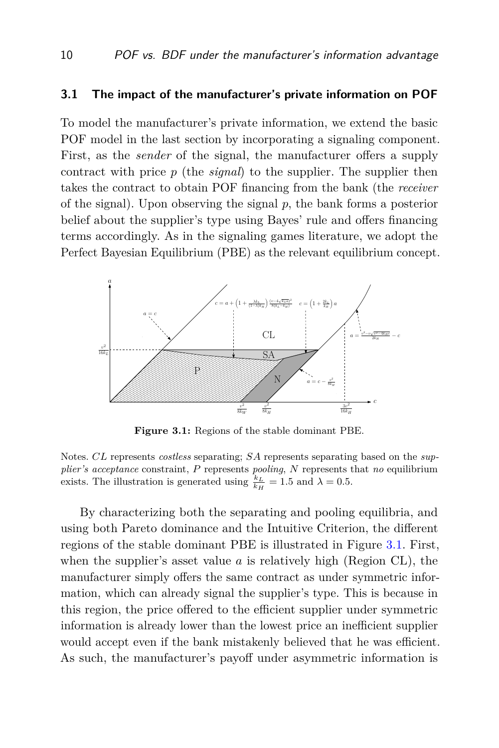#### **3.1 The impact of the manufacturer's private information on POF**

To model the manufacturer's private information, we extend the basic POF model in the last section by incorporating a signaling component. First, as the *sender* of the signal, the manufacturer offers a supply contract with price *p* (the *signal*) to the supplier. The supplier then takes the contract to obtain POF financing from the bank (the *receiver* of the signal). Upon observing the signal *p*, the bank forms a posterior belief about the supplier's type using Bayes' rule and offers financing terms accordingly. As in the signaling games literature, we adopt the Perfect Bayesian Equilibrium (PBE) as the relevant equilibrium concept.

<span id="page-10-0"></span>

**Figure 3.1:** Regions of the stable dominant PBE.

Notes. *CL* represents *costless* separating; *SA* represents separating based on the *supplier's acceptance* constraint, *P* represents *pooling*, *N* represents that *no* equilibrium exists. The illustration is generated using  $\frac{k_L}{k_H} = 1.5$  and  $\lambda = 0.5$ .

By characterizing both the separating and pooling equilibria, and using both Pareto dominance and the Intuitive Criterion, the different regions of the stable dominant PBE is illustrated in Figure [3.1.](#page-10-0) First, when the supplier's asset value *a* is relatively high (Region CL), the manufacturer simply offers the same contract as under symmetric information, which can already signal the supplier's type. This is because in this region, the price offered to the efficient supplier under symmetric information is already lower than the lowest price an inefficient supplier would accept even if the bank mistakenly believed that he was efficient. As such, the manufacturer's payoff under asymmetric information is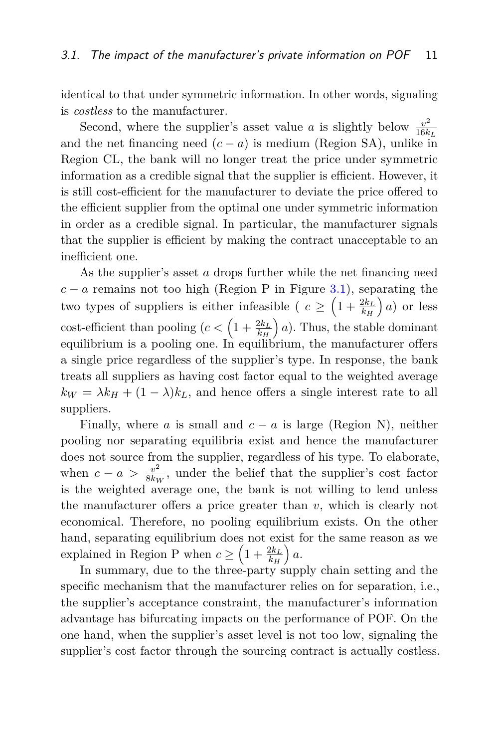identical to that under symmetric information. In other words, signaling is *costless* to the manufacturer.

Second, where the supplier's asset value *a* is slightly below  $\frac{v^2}{16k}$ 16*k<sup>L</sup>* and the net financing need  $(c - a)$  is medium (Region SA), unlike in Region CL, the bank will no longer treat the price under symmetric information as a credible signal that the supplier is efficient. However, it is still cost-efficient for the manufacturer to deviate the price offered to the efficient supplier from the optimal one under symmetric information in order as a credible signal. In particular, the manufacturer signals that the supplier is efficient by making the contract unacceptable to an inefficient one.

As the supplier's asset *a* drops further while the net financing need  $c - a$  remains not too high (Region P in Figure [3.1\)](#page-10-0), separating the two types of suppliers is either infeasible ( $c \geq \left(1 + \frac{2k_L}{k_H}\right)$  *a*) or less  $\text{cost-efficient than pooling } (c < \left(1 + \frac{2k_L}{k_H}\right))$  *a*). Thus, the stable dominant equilibrium is a pooling one. In equilibrium, the manufacturer offers a single price regardless of the supplier's type. In response, the bank treats all suppliers as having cost factor equal to the weighted average  $k_W = \lambda k_H + (1 - \lambda) k_L$ , and hence offers a single interest rate to all suppliers.

Finally, where *a* is small and  $c - a$  is large (Region N), neither pooling nor separating equilibria exist and hence the manufacturer does not source from the supplier, regardless of his type. To elaborate, when  $c - a > \frac{v^2}{8k_v}$  $\frac{v^2}{8k_W}$ , under the belief that the supplier's cost factor is the weighted average one, the bank is not willing to lend unless the manufacturer offers a price greater than *v*, which is clearly not economical. Therefore, no pooling equilibrium exists. On the other hand, separating equilibrium does not exist for the same reason as we explained in Region P when  $c \geq \left(1 + \frac{2k_L}{k_H}\right)$ *a*.

In summary, due to the three-party supply chain setting and the specific mechanism that the manufacturer relies on for separation, i.e., the supplier's acceptance constraint, the manufacturer's information advantage has bifurcating impacts on the performance of POF. On the one hand, when the supplier's asset level is not too low, signaling the supplier's cost factor through the sourcing contract is actually costless.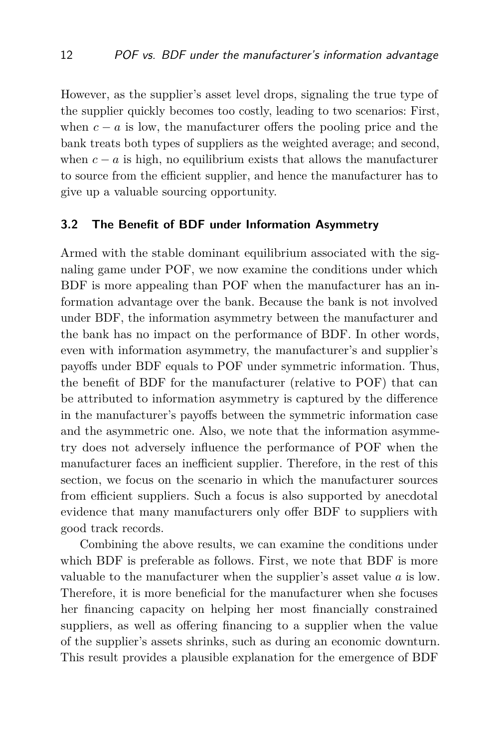However, as the supplier's asset level drops, signaling the true type of the supplier quickly becomes too costly, leading to two scenarios: First, when  $c - a$  is low, the manufacturer offers the pooling price and the bank treats both types of suppliers as the weighted average; and second, when  $c - a$  is high, no equilibrium exists that allows the manufacturer to source from the efficient supplier, and hence the manufacturer has to give up a valuable sourcing opportunity.

#### **3.2 The Benefit of BDF under Information Asymmetry**

Armed with the stable dominant equilibrium associated with the signaling game under POF, we now examine the conditions under which BDF is more appealing than POF when the manufacturer has an information advantage over the bank. Because the bank is not involved under BDF, the information asymmetry between the manufacturer and the bank has no impact on the performance of BDF. In other words, even with information asymmetry, the manufacturer's and supplier's payoffs under BDF equals to POF under symmetric information. Thus, the benefit of BDF for the manufacturer (relative to POF) that can be attributed to information asymmetry is captured by the difference in the manufacturer's payoffs between the symmetric information case and the asymmetric one. Also, we note that the information asymmetry does not adversely influence the performance of POF when the manufacturer faces an inefficient supplier. Therefore, in the rest of this section, we focus on the scenario in which the manufacturer sources from efficient suppliers. Such a focus is also supported by anecdotal evidence that many manufacturers only offer BDF to suppliers with good track records.

Combining the above results, we can examine the conditions under which BDF is preferable as follows. First, we note that BDF is more valuable to the manufacturer when the supplier's asset value *a* is low. Therefore, it is more beneficial for the manufacturer when she focuses her financing capacity on helping her most financially constrained suppliers, as well as offering financing to a supplier when the value of the supplier's assets shrinks, such as during an economic downturn. This result provides a plausible explanation for the emergence of BDF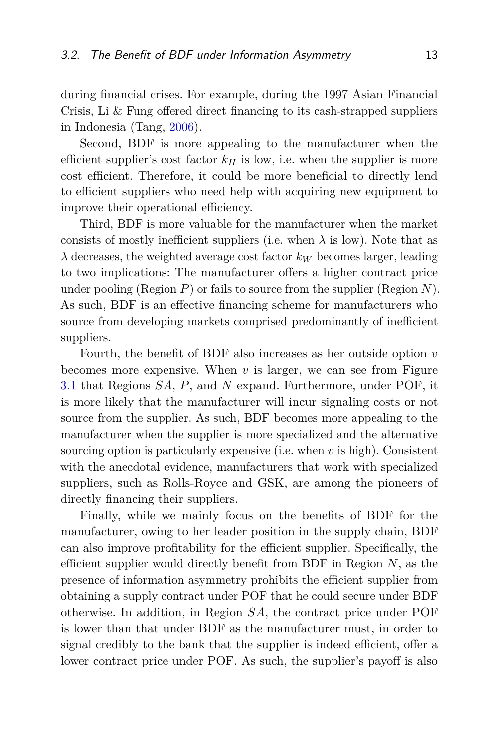during financial crises. For example, during the 1997 Asian Financial Crisis, Li & Fung offered direct financing to its cash-strapped suppliers in Indonesia (Tang, [2006\)](#page-17-4).

Second, BDF is more appealing to the manufacturer when the efficient supplier's cost factor  $k<sub>H</sub>$  is low, i.e. when the supplier is more cost efficient. Therefore, it could be more beneficial to directly lend to efficient suppliers who need help with acquiring new equipment to improve their operational efficiency.

Third, BDF is more valuable for the manufacturer when the market consists of mostly inefficient suppliers (i.e. when  $\lambda$  is low). Note that as  $\lambda$  decreases, the weighted average cost factor  $k_W$  becomes larger, leading to two implications: The manufacturer offers a higher contract price under pooling (Region *P*) or fails to source from the supplier (Region *N*). As such, BDF is an effective financing scheme for manufacturers who source from developing markets comprised predominantly of inefficient suppliers.

Fourth, the benefit of BDF also increases as her outside option *v* becomes more expensive. When  $v$  is larger, we can see from Figure [3.1](#page-10-0) that Regions *SA*, *P*, and *N* expand. Furthermore, under POF, it is more likely that the manufacturer will incur signaling costs or not source from the supplier. As such, BDF becomes more appealing to the manufacturer when the supplier is more specialized and the alternative sourcing option is particularly expensive (i.e. when *v* is high). Consistent with the anecdotal evidence, manufacturers that work with specialized suppliers, such as Rolls-Royce and GSK, are among the pioneers of directly financing their suppliers.

Finally, while we mainly focus on the benefits of BDF for the manufacturer, owing to her leader position in the supply chain, BDF can also improve profitability for the efficient supplier. Specifically, the efficient supplier would directly benefit from BDF in Region *N*, as the presence of information asymmetry prohibits the efficient supplier from obtaining a supply contract under POF that he could secure under BDF otherwise. In addition, in Region *SA*, the contract price under POF is lower than that under BDF as the manufacturer must, in order to signal credibly to the bank that the supplier is indeed efficient, offer a lower contract price under POF. As such, the supplier's payoff is also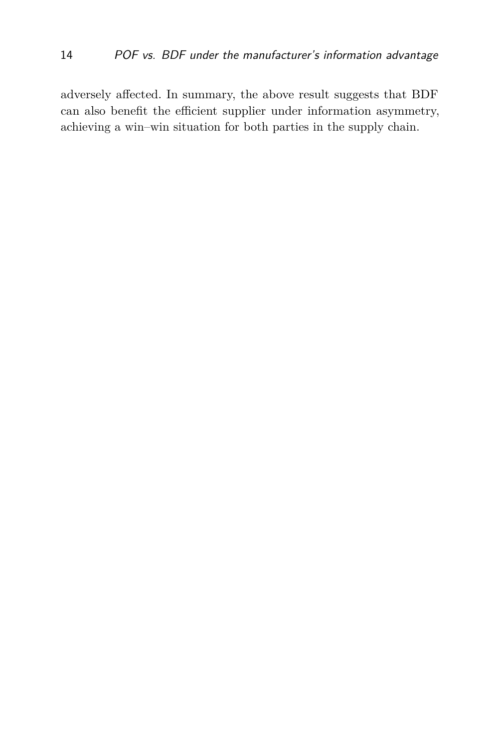adversely affected. In summary, the above result suggests that BDF can also benefit the efficient supplier under information asymmetry, achieving a win–win situation for both parties in the supply chain.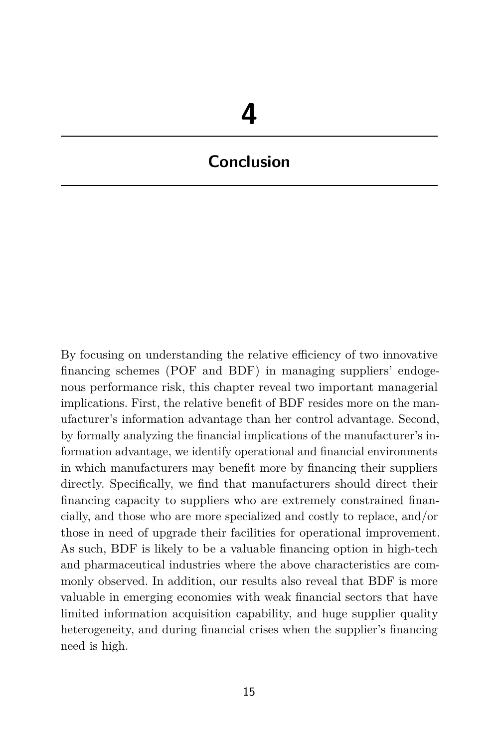# **Conclusion**

By focusing on understanding the relative efficiency of two innovative financing schemes (POF and BDF) in managing suppliers' endogenous performance risk, this chapter reveal two important managerial implications. First, the relative benefit of BDF resides more on the manufacturer's information advantage than her control advantage. Second, by formally analyzing the financial implications of the manufacturer's information advantage, we identify operational and financial environments in which manufacturers may benefit more by financing their suppliers directly. Specifically, we find that manufacturers should direct their financing capacity to suppliers who are extremely constrained financially, and those who are more specialized and costly to replace, and/or those in need of upgrade their facilities for operational improvement. As such, BDF is likely to be a valuable financing option in high-tech and pharmaceutical industries where the above characteristics are commonly observed. In addition, our results also reveal that BDF is more valuable in emerging economies with weak financial sectors that have limited information acquisition capability, and huge supplier quality heterogeneity, and during financial crises when the supplier's financing need is high.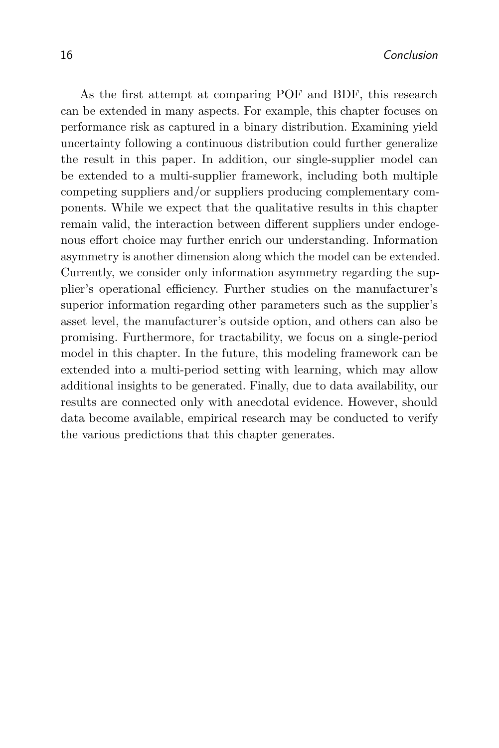As the first attempt at comparing POF and BDF, this research can be extended in many aspects. For example, this chapter focuses on performance risk as captured in a binary distribution. Examining yield uncertainty following a continuous distribution could further generalize the result in this paper. In addition, our single-supplier model can be extended to a multi-supplier framework, including both multiple competing suppliers and/or suppliers producing complementary components. While we expect that the qualitative results in this chapter remain valid, the interaction between different suppliers under endogenous effort choice may further enrich our understanding. Information asymmetry is another dimension along which the model can be extended. Currently, we consider only information asymmetry regarding the supplier's operational efficiency. Further studies on the manufacturer's superior information regarding other parameters such as the supplier's asset level, the manufacturer's outside option, and others can also be promising. Furthermore, for tractability, we focus on a single-period model in this chapter. In the future, this modeling framework can be extended into a multi-period setting with learning, which may allow additional insights to be generated. Finally, due to data availability, our results are connected only with anecdotal evidence. However, should data become available, empirical research may be conducted to verify the various predictions that this chapter generates.